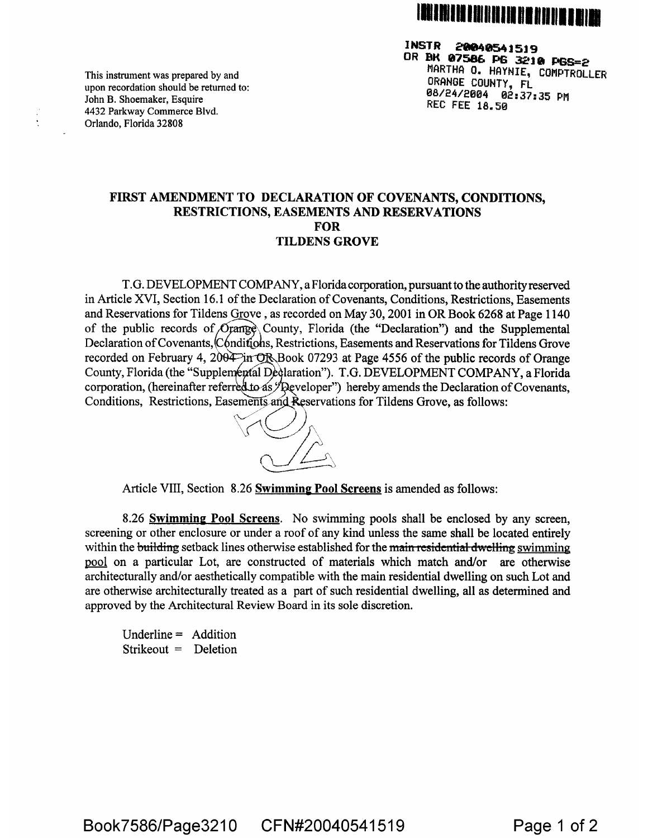

**I NST R 28048541519 OR BK 07586 PS 3218 PSS=2 MARTHA 0. HAYNIE, COMPTROLLER ORANGE COUNTY, FL <sup>0</sup>8/24/2004 02: 37; 35 P11 REC FEE 18.50** 

**This instrument was prepared by and upon recordation should be returned to: John B. Shoemaker, Esquire 4432 Parkway Commerce Blvd. Orlando, Florida 32808** 

## **FIRST AMENDMENT TO DECLARATION OF COVENANTS, CONDITIONS, RESTRICTIONS, EASEMENTS AND RESERVATIONS FOR TILDENS GROVE**

**T.G. DEVELOPMENT COMPANY, a Florida corporation, pursuant to the authority reserved in Article XVI, Section 16.1 of the Declaration of Covenants, Conditions, Restrictions, Easements and Reservations for Tildens Grove , as recorded on May 30, 2001 in OR Book 6268 at Page 1140**  of the public records of *Orange* County, Florida (the "Declaration") and the Supplemental Declaration of Covenants, Conditions, Restrictions, Easements and Reservations for Tildens Grove recorded on February 4, 2004 in OR Book 07293 at Page 4556 of the public records of Orange County, Florida (the "Supplemental Dedlaration"). T.G. DEVELOPMENT COMPANY, a Florida corporation, (hereinafter referred to as */* Developer") hereby amends the Declaration of Covenants, Conditions, Restrictions, Easements and Reservations for Tildens Grove, as follows:



**Article VIII, Section 8.26 Swimming Pool Screens is amended as follows:** 

**8.26 Swimming Pool Screens. No swimming pools shall be enclosed by any screen, screening or other enclosure or under a roof of any kind unless the same shall be located entirely**  within the building setback lines otherwise established for the main residential dwelling swimming **pool on a particular Lot, are constructed of materials which match and/or are otherwise architecturally and/or aesthetically compatible with the main residential dwelling on such Lot and are otherwise architecturally treated as a part of such residential dwelling, all as determined and approved by the Architectural Review Board in its sole discretion.** 

**Underline = Addition Strikeout = Deletion**